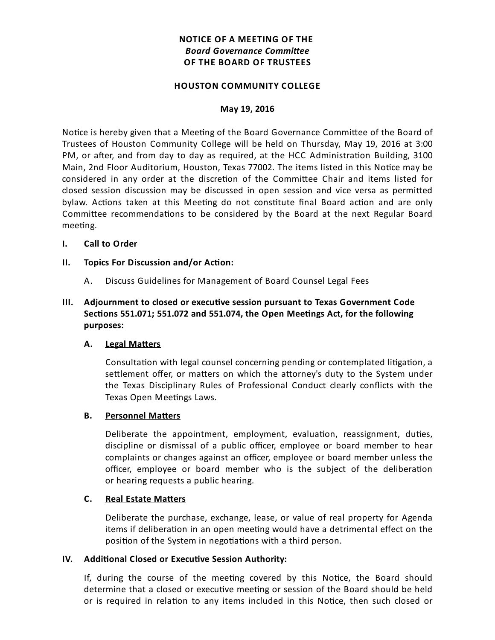# **NOTICE OF A MEETING OF THE Board Governance Committee OF THE BOARD OF TRUSTEES**

#### **HOUSTON COMMUNITY COLLEGE**

#### **May 19, 2016**

Notice is hereby given that a Meeting of the Board Governance Committee of the Board of Trustees of Houston Community College will be held on Thursday, May 19, 2016 at 3:00 PM, or after, and from day to day as required, at the HCC Administration Building, 3100 Main, 2nd Floor Auditorium, Houston, Texas 77002. The items listed in this Notice may be considered in any order at the discretion of the Committee Chair and items listed for closed session discussion may be discussed in open session and vice versa as permitted bylaw. Actions taken at this Meeting do not constitute final Board action and are only Committee recommendations to be considered by the Board at the next Regular Board meeting.

#### **I. Call to Order**

### **II.** Topics For Discussion and/or Action:

A. Discuss Guidelines for Management of Board Counsel Legal Fees

## **III.** Adjournment to closed or executive session pursuant to Texas Government Code Sections 551.071; 551.072 and 551.074, the Open Meetings Act, for the following **purposes:**

#### **A.** Legal Matters

Consultation with legal counsel concerning pending or contemplated litigation, a settlement offer, or matters on which the attorney's duty to the System under the Texas Disciplinary Rules of Professional Conduct clearly conflicts with the Texas Open Meetings Laws.

#### **B.** Personnel Matters

Deliberate the appointment, employment, evaluation, reassignment, duties, discipline or dismissal of a public officer, employee or board member to hear complaints or changes against an officer, employee or board member unless the officer, employee or board member who is the subject of the deliberation or hearing requests a public hearing.

#### **C.** Real Estate Matters

Deliberate the purchase, exchange, lease, or value of real property for Agenda items if deliberation in an open meeting would have a detrimental effect on the position of the System in negotiations with a third person.

#### **IV.** Additional Closed or Executive Session Authority:

If, during the course of the meeting covered by this Notice, the Board should determine that a closed or executive meeting or session of the Board should be held or is required in relation to any items included in this Notice, then such closed or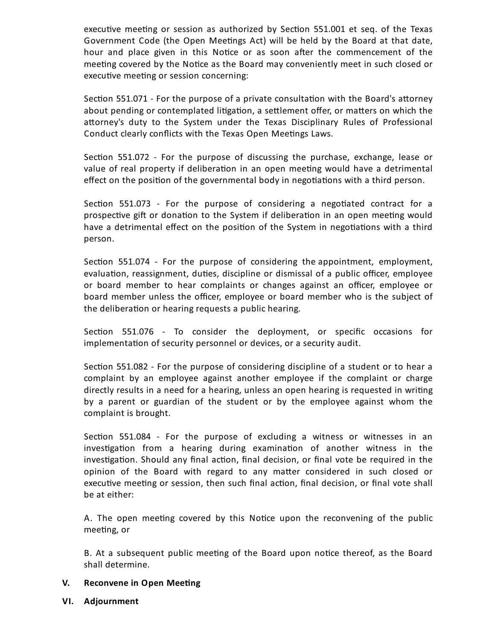executive meeting or session as authorized by Section 551.001 et seq. of the Texas Government Code (the Open Meetings Act) will be held by the Board at that date, hour and place given in this Notice or as soon after the commencement of the meeting covered by the Notice as the Board may conveniently meet in such closed or executive meeting or session concerning:

Section 551.071 - For the purpose of a private consultation with the Board's attorney about pending or contemplated litigation, a settlement offer, or matters on which the attorney's duty to the System under the Texas Disciplinary Rules of Professional Conduct clearly conflicts with the Texas Open Meetings Laws.

Section 551.072 - For the purpose of discussing the purchase, exchange, lease or value of real property if deliberation in an open meeting would have a detrimental effect on the position of the governmental body in negotiations with a third person.

Section 551.073 - For the purpose of considering a negotiated contract for a prospective gift or donation to the System if deliberation in an open meeting would have a detrimental effect on the position of the System in negotiations with a third person.

Section 551.074 - For the purpose of considering the appointment, employment, evaluation, reassignment, duties, discipline or dismissal of a public officer, employee or board member to hear complaints or changes against an officer, employee or board member unless the officer, employee or board member who is the subject of the deliberation or hearing requests a public hearing.

Section 551.076 - To consider the deployment, or specific occasions for implementation of security personnel or devices, or a security audit.

Section 551.082 - For the purpose of considering discipline of a student or to hear a complaint by an employee against another employee if the complaint or charge directly results in a need for a hearing, unless an open hearing is requested in writing by a parent or guardian of the student or by the employee against whom the complaint is brought.

Section  $551.084$  - For the purpose of excluding a witness or witnesses in an investigation from a hearing during examination of another witness in the investigation. Should any final action, final decision, or final vote be required in the opinion of the Board with regard to any matter considered in such closed or executive meeting or session, then such final action, final decision, or final vote shall be at either:

A. The open meeting covered by this Notice upon the reconvening of the public meeting, or

B. At a subsequent public meeting of the Board upon notice thereof, as the Board shall determine.

### **V.** Reconvene in Open Meeting

**VI. Adjournment**